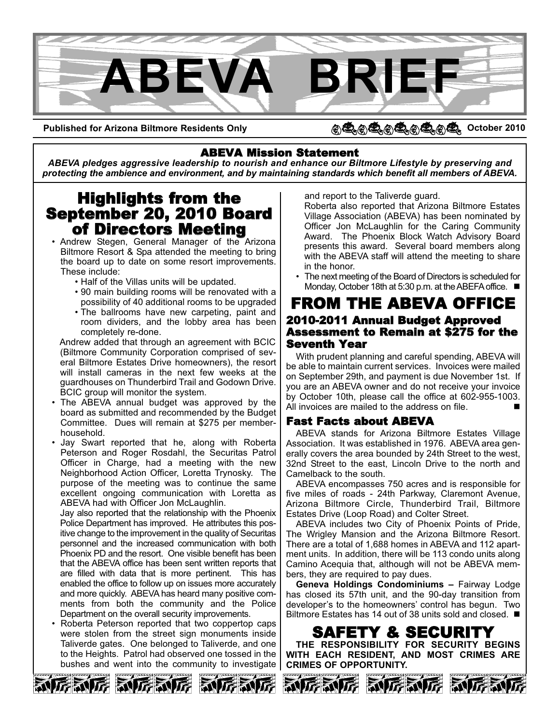

**Published for Arizona Biltmore Residents Only**

#### $Q_1 \oplus Q_2 \oplus Q_3 \oplus Q_4$ **October 2010**

#### ABEVA Mission Statement

*ABEVA pledges aggressive leadership to nourish and enhance our Biltmore Lifestyle by preserving and protecting the ambience and environment, and by maintaining standards which benefit all members of ABEVA.*

# Highlights from the September 20, 2010 Board

- Andrew Stegen, General Manager of the Arizona Biltmore Resort & Spa attended the meeting to bring the board up to date on some resort improvements. These include:
	- Half of the Villas units will be updated.
	- 90 main building rooms will be renovated with a possibility of 40 additional rooms to be upgraded
	- The ballrooms have new carpeting, paint and room dividers, and the lobby area has been completely re-done.

Andrew added that through an agreement with BCIC (Biltmore Community Corporation comprised of several Biltmore Estates Drive homeowners), the resort will install cameras in the next few weeks at the guardhouses on Thunderbird Trail and Godown Drive. BCIC group will monitor the system.

- The ABEVA annual budget was approved by the board as submitted and recommended by the Budget Committee. Dues will remain at \$275 per memberhousehold.
- Jay Swart reported that he, along with Roberta Peterson and Roger Rosdahl, the Securitas Patrol Officer in Charge, had a meeting with the new Neighborhood Action Officer, Loretta Trynosky. The purpose of the meeting was to continue the same excellent ongoing communication with Loretta as ABEVA had with Officer Jon McLaughlin.

Jay also reported that the relationship with the Phoenix Police Department has improved. He attributes this positive change to the improvement in the quality of Securitas personnel and the increased communication with both Phoenix PD and the resort. One visible benefit has been that the ABEVA office has been sent written reports that are filled with data that is more pertinent. This has enabled the office to follow up on issues more accurately and more quickly. ABEVA has heard many positive comments from both the community and the Police Department on the overall security improvements.

• Roberta Peterson reported that two coppertop caps were stolen from the street sign monuments inside Taliverde gates. One belonged to Taliverde, and one to the Heights. Patrol had observed one tossed in the bushes and went into the community to investigate and report to the Taliverde guard.

Roberta also reported that Arizona Biltmore Estates Village Association (ABEVA) has been nominated by Officer Jon McLaughlin for the Caring Community Award. The Phoenix Block Watch Advisory Board presents this award. Several board members along with the ABEVA staff will attend the meeting to share in the honor.

• The next meeting of the Board of Directors is scheduled for Monday, October 18th at 5:30 p.m. at the ABEFA office. ■

#### FROM THE ABEVA OFFICE 2010-2011 Annual Budget Approved Assessment to Remain at \$275 for the Seventh Year

With prudent planning and careful spending, ABEVA will be able to maintain current services. Invoices were mailed on September 29th, and payment is due November 1st. If you are an ABEVA owner and do not receive your invoice by October 10th, please call the office at 602-955-1003. All invoices are mailed to the address on file.

#### Fast Facts about ABEVA

ABEVA stands for Arizona Biltmore Estates Village Association. It was established in 1976. ABEVA area generally covers the area bounded by 24th Street to the west, 32nd Street to the east, Lincoln Drive to the north and Camelback to the south.

ABEVA encompasses 750 acres and is responsible for five miles of roads - 24th Parkway, Claremont Avenue, Arizona Biltmore Circle, Thunderbird Trail, Biltmore Estates Drive (Loop Road) and Colter Street.

ABEVA includes two City of Phoenix Points of Pride, The Wrigley Mansion and the Arizona Biltmore Resort. There are a total of 1,688 homes in ABEVA and 112 apartment units. In addition, there will be 113 condo units along Camino Acequia that, although will not be ABEVA members, they are required to pay dues.

**Geneva Holdings Condominiums –** Fairway Lodge has closed its 57th unit, and the 90-day transition from developer's to the homeowners' control has begun. Two Biltmore Estates has 14 out of 38 units sold and closed. ■

**SAFETY & SECURIT** 

**THE RESPONSIBILITY FOR SECURITY BEGINS WITH EACH RESIDENT, AND MOST CRIMES ARE CRIMES OF OPPORTUNITY.**

**RUG** 

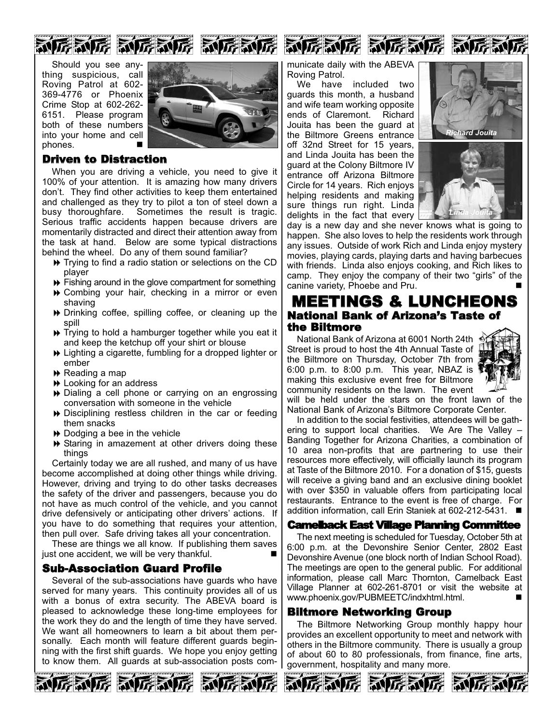

Should you see anything suspicious, call Roving Patrol at 602- 369-4776 or Phoenix Crime Stop at 602-262- 6151. Please program both of these numbers into your home and cell phones. -



#### Driven to Distraction

When you are driving a vehicle, you need to give it 100% of your attention. It is amazing how many drivers don't. They find other activities to keep them entertained and challenged as they try to pilot a ton of steel down a busy thoroughfare. Sometimes the result is tragic. Serious traffic accidents happen because drivers are momentarily distracted and direct their attention away from the task at hand. Below are some typical distractions behind the wheel. Do any of them sound familiar?

- Trying to find a radio station or selections on the CD player
- Fishing around in the glove compartment for something
- Combing your hair, checking in a mirror or even shaving
- Drinking coffee, spilling coffee, or cleaning up the spill
- → Trying to hold a hamburger together while you eat it and keep the ketchup off your shirt or blouse
- Lighting a cigarette, fumbling for a dropped lighter or ember
- **▶** Reading a map
- **▶** Looking for an address
- Dialing a cell phone or carrying on an engrossing conversation with someone in the vehicle
- Disciplining restless children in the car or feeding them snacks
- Dodging a bee in the vehicle
- Staring in amazement at other drivers doing these things

Certainly today we are all rushed, and many of us have become accomplished at doing other things while driving. However, driving and trying to do other tasks decreases the safety of the driver and passengers, because you do not have as much control of the vehicle, and you cannot drive defensively or anticipating other drivers' actions. If you have to do something that requires your attention, then pull over. Safe driving takes all your concentration.

These are things we all know. If publishing them saves just one accident, we will be very thankful.

#### Sub-Association Guard Profile

Several of the sub-associations have guards who have served for many years. This continuity provides all of us with a bonus of extra security. The ABEVA board is pleased to acknowledge these long-time employees for the work they do and the length of time they have served. We want all homeowners to learn a bit about them personally. Each month will feature different guards beginning with the first shift guards. We hope you enjoy getting to know them. All guards at sub-association posts com-







municate daily with the ABEVA Roving Patrol.

We have included two guards this month, a husband and wife team working opposite ends of Claremont. Richard Jouita has been the guard at the Biltmore Greens entrance off 32nd Street for 15 years, and Linda Jouita has been the guard at the Colony Biltmore IV entrance off Arizona Biltmore Circle for 14 years. Rich enjoys helping residents and making sure things run right. Linda delights in the fact that every





day is a new day and she never knows what is going to happen. She also loves to help the residents work through any issues. Outside of work Rich and Linda enjoy mystery movies, playing cards, playing darts and having barbecues with friends. Linda also enjoys cooking, and Rich likes to camp. They enjoy the company of their two "girls" of the canine variety, Phoebe and Pru.

### MEETINGS & LUNCHEONS National Bank of Arizona's Taste of the Biltmore

National Bank of Arizona at 6001 North 24th Street is proud to host the 4th Annual Taste of the Biltmore on Thursday, October 7th from 6:00 p.m. to 8:00 p.m. This year, NBAZ is  $\overline{\mathbb{R}}$ making this exclusive event free for Biltmore community residents on the lawn. The event



will be held under the stars on the front lawn of the National Bank of Arizona's Biltmore Corporate Center.

In addition to the social festivities, attendees will be gathering to support local charities. We Are The Valley – Banding Together for Arizona Charities, a combination of 10 area non-profits that are partnering to use their resources more effectively, will officially launch its program at Taste of the Biltmore 2010. For a donation of \$15, guests will receive a giving band and an exclusive dining booklet with over \$350 in valuable offers from participating local restaurants. Entrance to the event is free of charge. For addition information, call Erin Staniek at 602-212-5431. ■

#### Camelback East Village Planning Committee

The next meeting is scheduled for Tuesday, October 5th at 6:00 p.m. at the Devonshire Senior Center, 2802 East Devonshire Avenue (one block north of Indian School Road). The meetings are open to the general public. For additional information, please call Marc Thornton, Camelback East Village Planner at 602-261-8701 or visit the website at www.phoenix.gov/PUBMEETC/indxhtml.html.

#### Biltmore Networking Group

The Biltmore Networking Group monthly happy hour provides an excellent opportunity to meet and network with others in the Biltmore community. There is usually a group of about 60 to 80 professionals, from finance, fine arts, government, hospitality and many more.





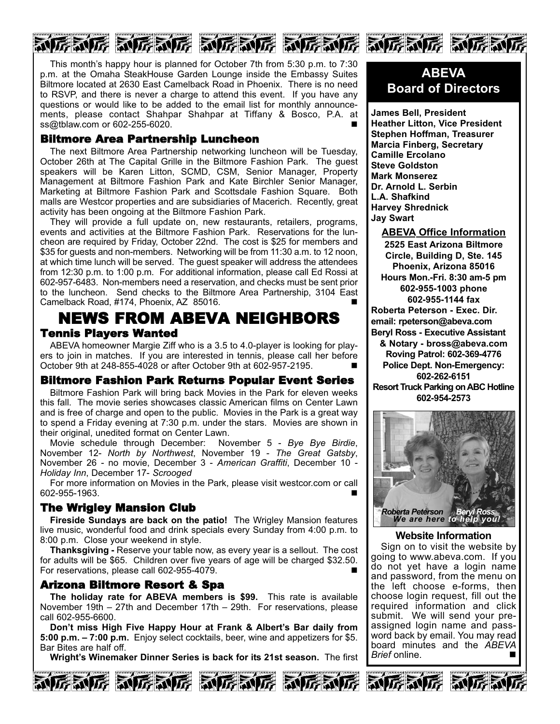# 心存动存 动存动存 动存动存 动存动存 动存动存 动存动

This month's happy hour is planned for October 7th from 5:30 p.m. to 7:30 p.m. at the Omaha SteakHouse Garden Lounge inside the Embassy Suites Biltmore located at 2630 East Camelback Road in Phoenix. There is no need to RSVP, and there is never a charge to attend this event. If you have any questions or would like to be added to the email list for monthly announcements, please contact Shahpar Shahpar at Tiffany & Bosco, P.A. at ss@tblaw.com or 602-255-6020.

#### Biltmore Area Partnership Luncheon

The next Biltmore Area Partnership networking luncheon will be Tuesday, October 26th at The Capital Grille in the Biltmore Fashion Park. The guest speakers will be Karen Litton, SCMD, CSM, Senior Manager, Property Management at Biltmore Fashion Park and Kate Birchler Senior Manager, Marketing at Biltmore Fashion Park and Scottsdale Fashion Square. Both malls are Westcor properties and are subsidiaries of Macerich. Recently, great activity has been ongoing at the Biltmore Fashion Park.

They will provide a full update on, new restaurants, retailers, programs, events and activities at the Biltmore Fashion Park. Reservations for the luncheon are required by Friday, October 22nd. The cost is \$25 for members and \$35 for guests and non-members. Networking will be from 11:30 a.m. to 12 noon, at which time lunch will be served. The guest speaker will address the attendees from 12:30 p.m. to 1:00 p.m. For additional information, please call Ed Rossi at 602-957-6483. Non-members need a reservation, and checks must be sent prior to the luncheon. Send checks to the Biltmore Area Partnership, 3104 East Camelback Road, #174, Phoenix, AZ 85016.

# NEWS FROM ABEVA NEIGHBORS Tennis Players Wanted

ABEVA homeowner Margie Ziff who is a 3.5 to 4.0-player is looking for players to join in matches. If you are interested in tennis, please call her before October 9th at 248-855-4028 or after October 9th at 602-957-2195. -

#### Biltmore Fashion Park Returns Popular Event Series

Biltmore Fashion Park will bring back Movies in the Park for eleven weeks this fall. The movie series showcases classic American films on Center Lawn and is free of charge and open to the public. Movies in the Park is a great way to spend a Friday evening at 7:30 p.m. under the stars. Movies are shown in their original, unedited format on Center Lawn.

Movie schedule through December: November 5 - *Bye Bye Birdie*, November 12- *North by Northwest*, November 19 - *The Great Gatsby*, November 26 - no movie, December 3 - *American Graffiti*, December 10 - *Holiday Inn*, December 17- *Scrooged*

For more information on Movies in the Park, please visit westcor.com or call 602-955-1963. -

### The Wrigley Mansion Club

**Fireside Sundays are back on the patio!** The Wrigley Mansion features live music, wonderful food and drink specials every Sunday from 4:00 p.m. to 8:00 p.m. Close your weekend in style.

**Thanksgiving -** Reserve your table now, as every year is a sellout. The cost for adults will be \$65. Children over five years of age will be charged \$32.50. For reservations, please call 602-955-4079.

#### Arizona Biltmore Resort & Spa

**The holiday rate for ABEVA members is \$99.** This rate is available November 19th – 27th and December 17th – 29th. For reservations, please call 602-955-6600.

**Don't miss High Five Happy Hour at Frank & Albert's Bar daily from 5:00 p.m. – 7:00 p.m.** Enjoy select cocktails, beer, wine and appetizers for \$5. Bar Bites are half off.

**Wright's Winemaker Dinner Series is back for its 21st season.** The first







### **ABEVA Board of Directors**

**James Bell, President Heather Litton, Vice President Stephen Hoffman, Treasurer Marcia Finberg, Secretary Camille Ercolano Steve Goldston Mark Monserez Dr. Arnold L. Serbin L.A. Shafkind Harvey Shrednick Jay Swart**

**ABEVA Office Information 2525 East Arizona Biltmore Circle, Building D, Ste. 145 Phoenix, Arizona 85016 Hours Mon.-Fri. 8:30 am-5 pm 602-955-1003 phone 602-955-1144 fax Roberta Peterson - Exec. Dir. email: rpeterson@abeva.com Beryl Ross - Executive Assistant & Notary - bross@abeva.com Roving Patrol: 602-369-4776 Police Dept. Non-Emergency: 602-262-6151 Resort Truck Parking on ABC Hotline 602-954-2573**



#### **Website Information**

Sign on to visit the website by going to www.abeva.com. If you do not yet have a login name and password, from the menu on the left choose e-forms, then choose login request, fill out the required information and click submit. We will send your preassigned login name and password back by email. You may read board minutes and the *ABEVA Brief* online. ■

动匠动匠